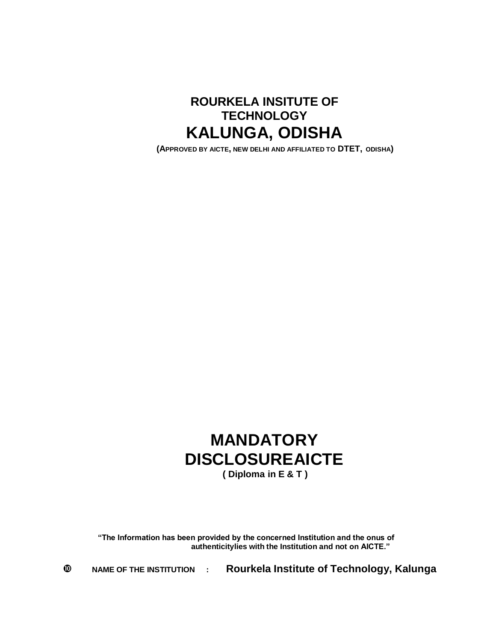

**(APPROVED BY AICTE, NEW DELHI AND AFFILIATED TO DTET, ODISHA)**

## **MANDATORY DISCLOSUREAICTE ( Diploma in E & T )**

**"The Information has been provided by the concerned Institution and the onus of authenticitylies with the Institution and not on AICTE."**

**NAME OF THE INSTITUTION : Rourkela Institute of Technology, Kalunga**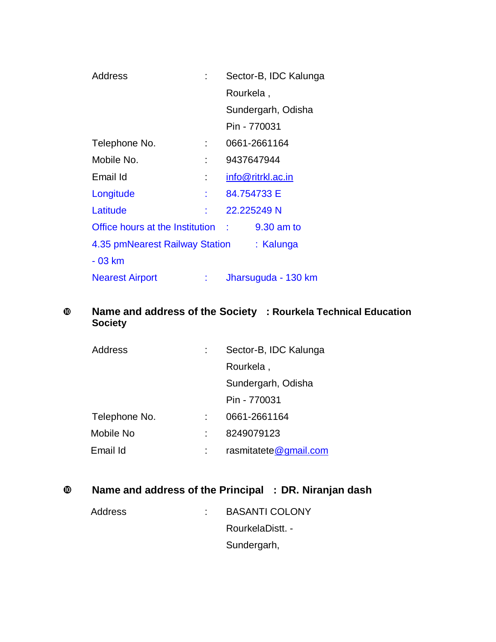| Address                           | Sector-B, IDC Kalunga |
|-----------------------------------|-----------------------|
|                                   | Rourkela,             |
|                                   | Sundergarh, Odisha    |
|                                   | Pin - 770031          |
| Telephone No.                     | 0661-2661164          |
| Mobile No.                        | 9437647944            |
| Email Id                          | info@ritrkl.ac.in     |
| Longitude                         | 84.754733 E           |
| Latitude                          | 22.225249 N           |
| Office hours at the Institution : | 9.30 am to            |
| 4.35 pmNearest Railway Station    | : Kalunga             |
| $-03$ km                          |                       |
| <b>Nearest Airport</b>            | Jharsuguda - 130 km   |

### **Name and address of the Society : Rourkela Technical Education Society**

| <b>Address</b> | Sector-B, IDC Kalunga |  |
|----------------|-----------------------|--|
|                | Rourkela,             |  |
|                | Sundergarh, Odisha    |  |
|                | Pin - 770031          |  |
| Telephone No.  | 0661-2661164          |  |
| Mobile No      | 8249079123            |  |
| Email Id       | rasmitatete@gmail.com |  |

## **Name and address of the Principal : DR. Niranjan dash**

| Address | <b>BASANTI COLONY</b> |
|---------|-----------------------|
|         | RourkelaDistt. -      |
|         | Sundergarh,           |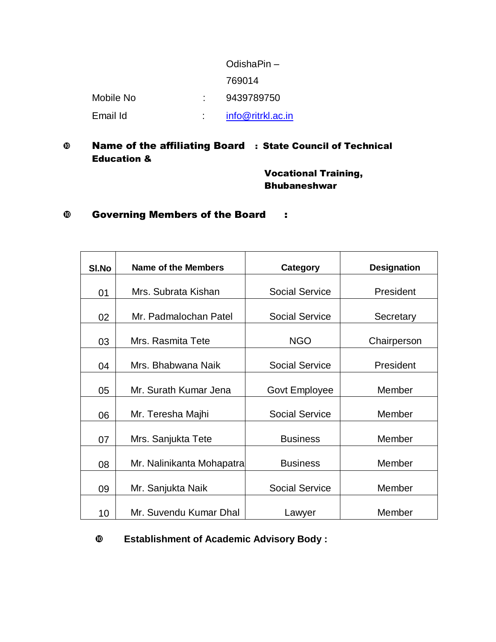|           | OdishaPin-        |
|-----------|-------------------|
|           | 769014            |
| Mobile No | 9439789750        |
| Email Id  | info@ritrkl.ac.in |

#### Name of the affiliating Board : State Council of Technical Education &

Vocational Training, Bhubaneshwar

#### Governing Members of the Board :

| SI.No | Name of the Members       | <b>Category</b>       | <b>Designation</b> |
|-------|---------------------------|-----------------------|--------------------|
| 01    | Mrs. Subrata Kishan       | <b>Social Service</b> | President          |
| 02    | Mr. Padmalochan Patel     | <b>Social Service</b> | Secretary          |
| 03    | Mrs. Rasmita Tete         | <b>NGO</b>            | Chairperson        |
| 04    | Mrs. Bhabwana Naik        | <b>Social Service</b> | President          |
| 05    | Mr. Surath Kumar Jena     | Govt Employee         | Member             |
| 06    | Mr. Teresha Majhi         | <b>Social Service</b> | Member             |
| 07    | Mrs. Sanjukta Tete        | <b>Business</b>       | Member             |
| 08    | Mr. Nalinikanta Mohapatra | <b>Business</b>       | Member             |
| 09    | Mr. Sanjukta Naik         | <b>Social Service</b> | Member             |
| 10    | Mr. Suvendu Kumar Dhal    | Lawyer                | Member             |

**Establishment of Academic Advisory Body :**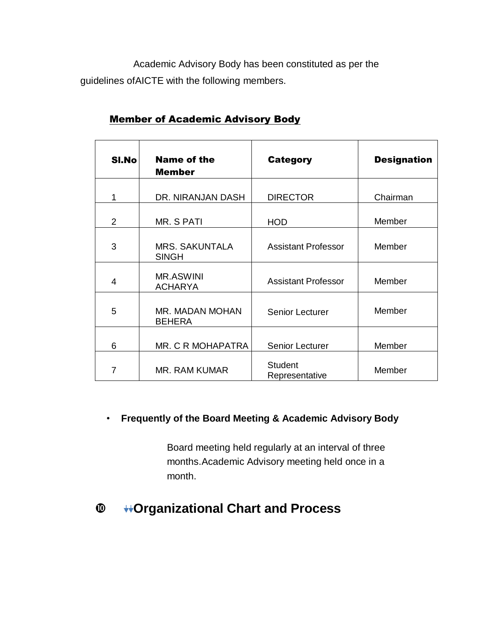Academic Advisory Body has been constituted as per the guidelines ofAICTE with the following members.

| SI.No         | <b>Name of the</b><br><b>Member</b>   | <b>Category</b>                  | <b>Designation</b> |
|---------------|---------------------------------------|----------------------------------|--------------------|
| 1             | DR. NIRANJAN DASH                     | <b>DIRECTOR</b>                  | Chairman           |
| $\mathcal{P}$ | MR. S PATI                            | <b>HOD</b>                       | Member             |
| 3             | <b>MRS. SAKUNTALA</b><br><b>SINGH</b> | <b>Assistant Professor</b>       | Member             |
| 4             | <b>MR.ASWINI</b><br><b>ACHARYA</b>    | Assistant Professor              | Member             |
| 5             | MR. MADAN MOHAN<br><b>BEHERA</b>      | Senior Lecturer                  | Member             |
| 6             | MR. C R MOHAPATRA                     | Senior Lecturer                  | Member             |
| 7             | MR. RAM KUMAR                         | <b>Student</b><br>Representative | Member             |

#### Member of Academic Advisory Body

#### • **Frequently of the Board Meeting & Academic Advisory Body**

Board meeting held regularly at an interval of three months.Academic Advisory meeting held once in a month.

## **Organizational Chart and Process**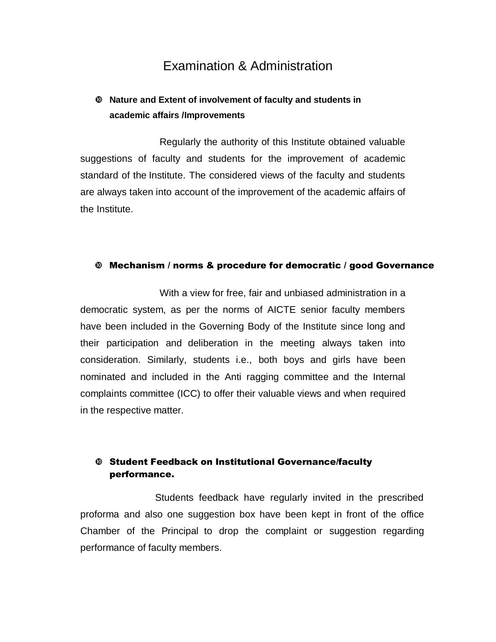### Examination & Administration

#### **Nature and Extent of involvement of faculty and students in academic affairs /Improvements**

Regularly the authority of this Institute obtained valuable suggestions of faculty and students for the improvement of academic standard of the Institute. The considered views of the faculty and students are always taken into account of the improvement of the academic affairs of the Institute.

#### Mechanism / norms & procedure for democratic / good Governance

With a view for free, fair and unbiased administration in a democratic system, as per the norms of AICTE senior faculty members have been included in the Governing Body of the Institute since long and their participation and deliberation in the meeting always taken into consideration. Similarly, students i.e., both boys and girls have been nominated and included in the Anti ragging committee and the Internal complaints committee (ICC) to offer their valuable views and when required in the respective matter.

#### Student Feedback on Institutional Governance/faculty performance.

Students feedback have regularly invited in the prescribed proforma and also one suggestion box have been kept in front of the office Chamber of the Principal to drop the complaint or suggestion regarding performance of faculty members.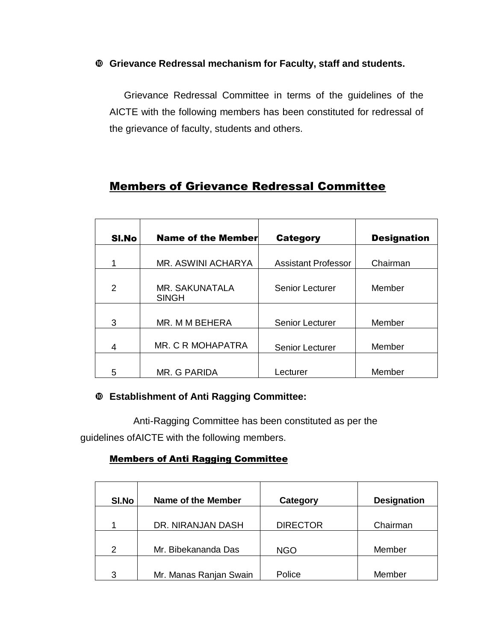#### **Grievance Redressal mechanism for Faculty, staff and students.**

Grievance Redressal Committee in terms of the guidelines of the AICTE with the following members has been constituted for redressal of the grievance of faculty, students and others.

### Members of Grievance Redressal Committee

| SI.No | <b>Name of the Member</b>             | <b>Category</b>            | <b>Designation</b> |
|-------|---------------------------------------|----------------------------|--------------------|
| 1     | MR. ASWINI ACHARYA                    | <b>Assistant Professor</b> | Chairman           |
| 2     | <b>MR. SAKUNATALA</b><br><b>SINGH</b> | Senior Lecturer            | Member             |
| 3     | MR. M M BEHERA                        | <b>Senior Lecturer</b>     | Member             |
| 4     | MR. C R MOHAPATRA                     | <b>Senior Lecturer</b>     | Member             |
| 5     | MR. G PARIDA                          | Lecturer                   | Member             |

#### **Establishment of Anti Ragging Committee:**

Anti-Ragging Committee has been constituted as per the guidelines ofAICTE with the following members.

#### Members of Anti Ragging Committee

| SI.No         | <b>Name of the Member</b> | Category        | <b>Designation</b> |
|---------------|---------------------------|-----------------|--------------------|
|               | DR. NIRANJAN DASH         | <b>DIRECTOR</b> | Chairman           |
| $\mathcal{P}$ | Mr. Bibekananda Das       | <b>NGO</b>      | Member             |
| 3             | Mr. Manas Ranjan Swain    | Police          | Member             |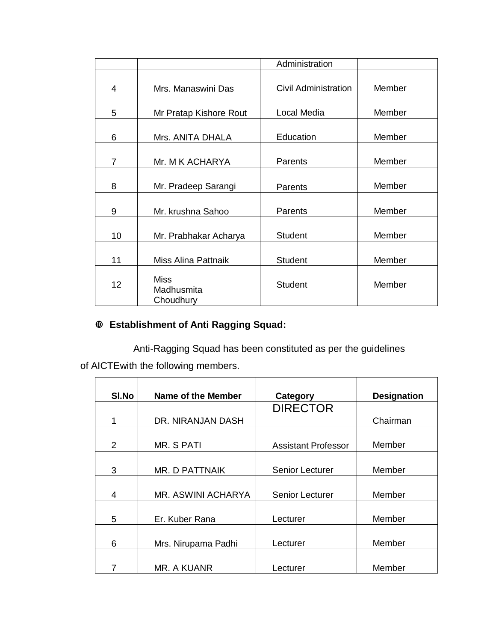|    |                                        | Administration              |        |
|----|----------------------------------------|-----------------------------|--------|
|    |                                        |                             |        |
| 4  | Mrs. Manaswini Das                     | <b>Civil Administration</b> | Member |
| 5  | Mr Pratap Kishore Rout                 | Local Media                 | Member |
| 6  | Mrs. ANITA DHALA                       | Education                   | Member |
| 7  | Mr. M K ACHARYA                        | Parents                     | Member |
| 8  | Mr. Pradeep Sarangi                    | Parents                     | Member |
| 9  | Mr. krushna Sahoo                      | Parents                     | Member |
| 10 | Mr. Prabhakar Acharya                  | <b>Student</b>              | Member |
| 11 | Miss Alina Pattnaik                    | <b>Student</b>              | Member |
| 12 | <b>Miss</b><br>Madhusmita<br>Choudhury | <b>Student</b>              | Member |

### **Establishment of Anti Ragging Squad:**

Anti-Ragging Squad has been constituted as per the guidelines of AICTEwith the following members.

| SI.No         | Name of the Member  | Category                   | <b>Designation</b> |
|---------------|---------------------|----------------------------|--------------------|
|               |                     | <b>DIRECTOR</b>            |                    |
|               | DR. NIRANJAN DASH   |                            | Chairman           |
|               |                     |                            |                    |
| $\mathcal{P}$ | MR. S PATI          | <b>Assistant Professor</b> | Member             |
|               |                     |                            |                    |
| 3             | MR. D PATTNAIK      | Senior Lecturer            | Member             |
|               |                     |                            |                    |
| 4             | MR. ASWINI ACHARYA  | <b>Senior Lecturer</b>     | Member             |
|               |                     |                            |                    |
| 5             | Er. Kuber Rana      | Lecturer                   | Member             |
|               |                     |                            |                    |
| 6             | Mrs. Nirupama Padhi | Lecturer                   | Member             |
|               |                     |                            |                    |
|               | MR. A KUANR         | Lecturer                   | Member             |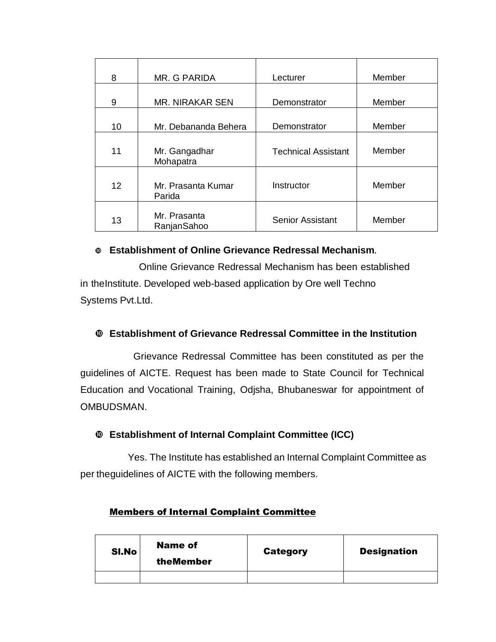| 8  | MR. G PARIDA                 | Lecturer                   | Member |
|----|------------------------------|----------------------------|--------|
| 9  | <b>MR. NIRAKAR SEN</b>       | Demonstrator               | Member |
| 10 | Mr. Debananda Behera         | Demonstrator               | Member |
| 11 | Mr. Gangadhar<br>Mohapatra   | <b>Technical Assistant</b> | Member |
| 12 | Mr. Prasanta Kumar<br>Parida | Instructor                 | Member |
| 13 | Mr. Prasanta<br>RanjanSahoo  | <b>Senior Assistant</b>    | Member |

#### **Establishment of Online Grievance Redressal Mechanism.**

Online Grievance Redressal Mechanism has been established in theInstitute. Developed web-based application by Ore well Techno Systems Pvt.Ltd.

#### **Establishment of Grievance Redressal Committee in the Institution**

Grievance Redressal Committee has been constituted as per the guidelines of AICTE. Request has been made to State Council for Technical Education and Vocational Training, Odjsha, Bhubaneswar for appointment of OMBUDSMAN.

#### **Establishment of Internal Complaint Committee (ICC)**

Yes. The Institute has established an Internal Complaint Committee as per theguidelines of AICTE with the following members.

| SI.No | <b>Name of</b><br>theMember | <b>Category</b> | <b>Designation</b> |
|-------|-----------------------------|-----------------|--------------------|
|       |                             |                 |                    |

#### Members of Internal Complaint Committee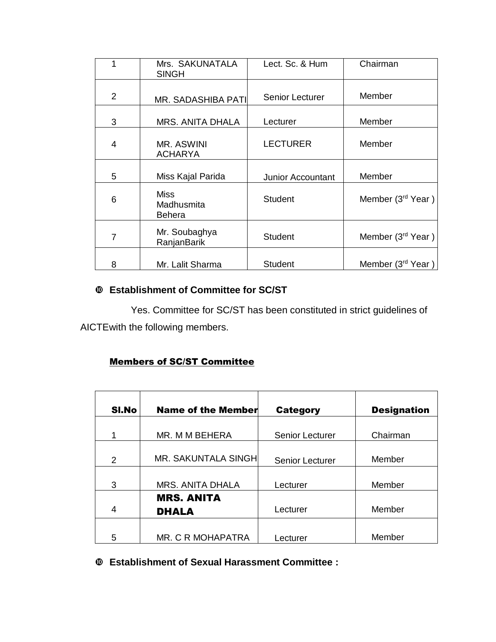|                | Mrs. SAKUNATALA<br><b>SINGH</b>     | Lect. Sc. & Hum          | Chairman                      |
|----------------|-------------------------------------|--------------------------|-------------------------------|
| 2              | <b>MR. SADASHIBA PATI</b>           | <b>Senior Lecturer</b>   | Member                        |
| 3              | MRS. ANITA DHALA                    | Lecturer                 | Member                        |
| $\overline{4}$ | MR. ASWINI<br><b>ACHARYA</b>        | <b>LECTURER</b>          | Member                        |
| 5              | Miss Kajal Parida                   | <b>Junior Accountant</b> | Member                        |
| 6              | <b>Miss</b><br>Madhusmita<br>Behera | Student                  | Member (3rd Year)             |
| 7              | Mr. Soubaghya<br>RanjanBarik        | <b>Student</b>           | Member (3rd Year)             |
| 8              | Mr. Lalit Sharma                    | <b>Student</b>           | Member (3 <sup>rd</sup> Year) |

#### **Establishment of Committee for SC/ST**

Yes. Committee for SC/ST has been constituted in strict guidelines of AICTEwith the following members.

#### Members of SC/ST Committee

| SI.No | <b>Name of the Member</b>  | <b>Category</b>        | <b>Designation</b> |
|-------|----------------------------|------------------------|--------------------|
| 1     | MR. M M BEHERA             | <b>Senior Lecturer</b> | Chairman           |
|       |                            |                        |                    |
| 2     | <b>MR. SAKUNTALA SINGH</b> | <b>Senior Lecturer</b> | Member             |
|       |                            |                        |                    |
| 3     | <b>MRS. ANITA DHALA</b>    | Lecturer               | Member             |
|       | <b>MRS. ANITA</b>          |                        |                    |
| 4     | <b>DHALA</b>               | Lecturer               | Member             |
|       |                            |                        |                    |
| 5     | MR. C R MOHAPATRA          | Lecturer               | Member             |

#### **Establishment of Sexual Harassment Committee :**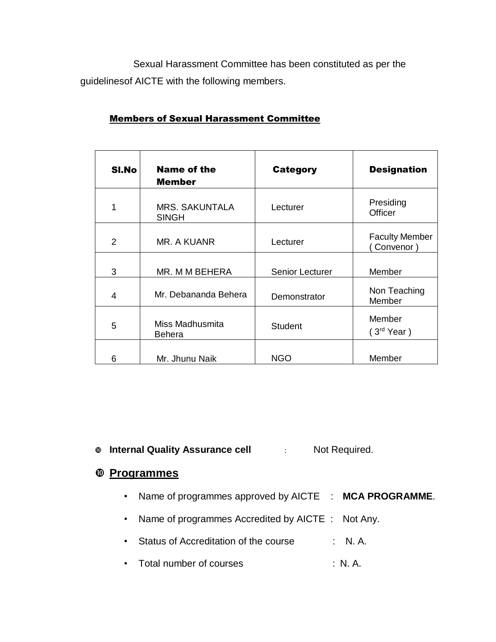Sexual Harassment Committee has been constituted as per the guidelinesof AICTE with the following members.

| SI.No          | Name of the<br><b>Member</b>          | Category        | <b>Designation</b>                |
|----------------|---------------------------------------|-----------------|-----------------------------------|
| 1              | <b>MRS. SAKUNTALA</b><br><b>SINGH</b> | Lecturer        | Presiding<br>Officer              |
| $\mathfrak{p}$ | MR. A KUANR                           | Lecturer        | <b>Faculty Member</b><br>Convenor |
| 3              | MR. M M BEHERA                        | Senior Lecturer | Member                            |
| 4              | Mr. Debananda Behera                  | Demonstrator    | Non Teaching<br>Member            |
| 5              | Miss Madhusmita<br>Behera             | <b>Student</b>  | Member<br>(3 <sup>rd</sup> Year)  |
| 6              | Mr. Jhunu Naik                        | <b>NGO</b>      | Member                            |

#### Members of Sexual Harassment Committee

**Internal Quality Assurance cell** : Not Required.

### **Programmes**

- Name of programmes approved by AICTE : **MCA PROGRAMME**.
- Name of programmes Accredited by AICTE : Not Any.
- Status of Accreditation of the course : N. A.
- Total number of courses : N.A.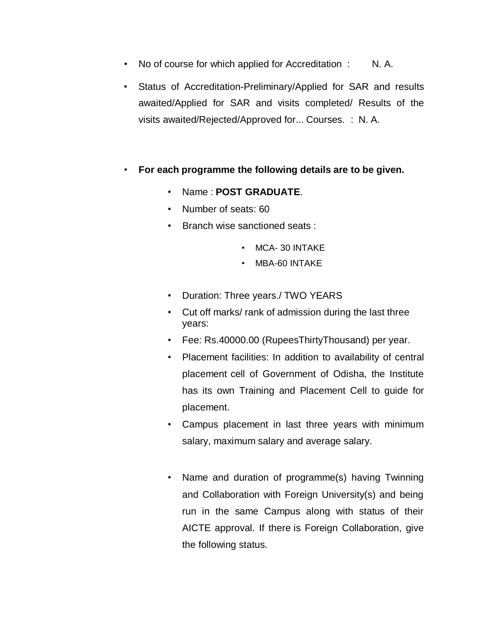- No of course for which applied for Accreditation : N. A.
- Status of Accreditation-Preliminary/Applied for SAR and results awaited/Applied for SAR and visits completed/ Results of the visits awaited/Rejected/Approved for... Courses. : N. A.
- **For each programme the following details are to be given.**
	- Name : **POST GRADUATE**.
	- Number of seats: 60
	- Branch wise sanctioned seats :
		- MCA- 30 INTAKE
		- MBA-60 INTAKE
	- Duration: Three years./ TWO YEARS
	- Cut off marks/ rank of admission during the last three years:
	- Fee: Rs.40000.00 (RupeesThirtyThousand) per year.
	- Placement facilities: In addition to availability of central placement cell of Government of Odisha, the Institute has its own Training and Placement Cell to guide for placement.
	- Campus placement in last three years with minimum salary, maximum salary and average salary.
	- Name and duration of programme(s) having Twinning and Collaboration with Foreign University(s) and being run in the same Campus along with status of their AICTE approval. If there is Foreign Collaboration, give the following status.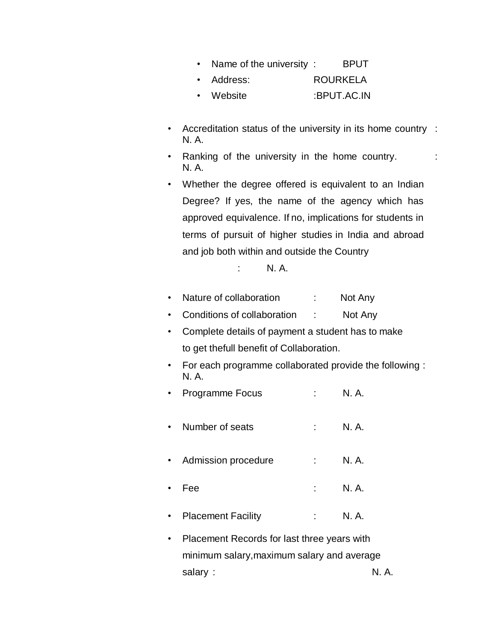|  |  |  | Name of the university: |  | <b>BPUT</b> |
|--|--|--|-------------------------|--|-------------|
|--|--|--|-------------------------|--|-------------|

| Address: | <b>ROURKELA</b> |
|----------|-----------------|
|----------|-----------------|

- Website :BPUT.AC.IN
- Accreditation status of the university in its home country : N. A.
- Ranking of the university in the home country.  $\cdot$ N. A.
- Whether the degree offered is equivalent to an Indian Degree? If yes, the name of the agency which has approved equivalence. If no, implications for students in terms of pursuit of higher studies in India and abroad and job both within and outside the Country

N. A.

- Nature of collaboration : Not Any
- Conditions of collaboration : Not Any
- Complete details of payment a student has to make to get thefull benefit of Collaboration.
- For each programme collaborated provide the following : N. A.
- Programme Focus : N. A.
- Number of seats : N.A.
- Admission procedure : N. A.
- Fee : N. A.
- Placement Facility : N.A.
- Placement Records for last three years with minimum salary,maximum salary and average salary : N.A.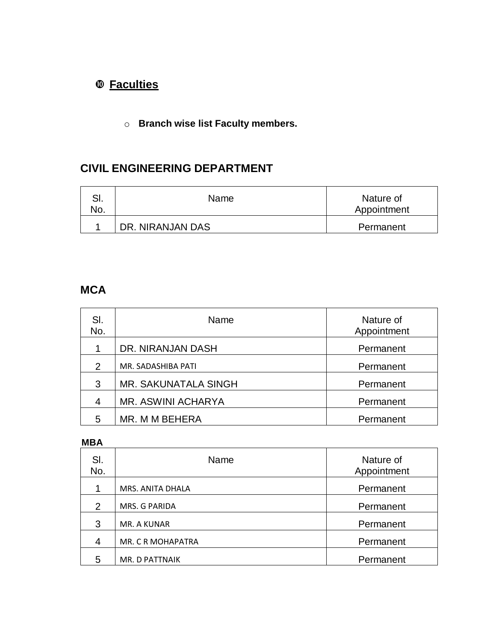## **Faculties**

o **Branch wise list Faculty members.**

### **CIVIL ENGINEERING DEPARTMENT**

| . ات<br>NO. | Name             | Nature of<br>Appointment |
|-------------|------------------|--------------------------|
|             | DR. NIRANJAN DAS | Permanent                |

### **MCA**

| SI.<br>No.    | Name                 | Nature of<br>Appointment |
|---------------|----------------------|--------------------------|
|               | DR. NIRANJAN DASH    | Permanent                |
| $\mathcal{P}$ | MR. SADASHIBA PATI   | Permanent                |
| 3             | MR. SAKUNATALA SINGH | Permanent                |
| 4             | MR. ASWINI ACHARYA   | Permanent                |
| 5             | MR. M M BEHERA       | Permanent                |

#### **MBA**

| SI.<br>No. | Name              | Nature of<br>Appointment |
|------------|-------------------|--------------------------|
|            | MRS. ANITA DHALA  | Permanent                |
| 2          | MRS. G PARIDA     | Permanent                |
| 3          | MR. A KUNAR       | Permanent                |
| 4          | MR. C R MOHAPATRA | Permanent                |
| 5          | MR. D PATTNAIK    | Permanent                |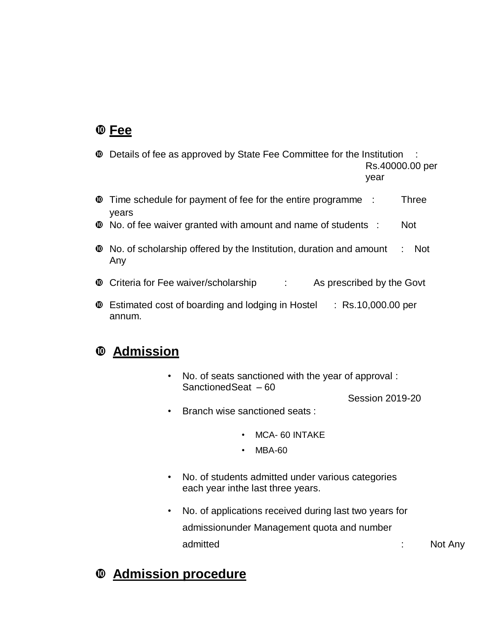## **Fee**

- Details of fee as approved by State Fee Committee for the Institution : Rs.40000.00 per year
- Time schedule for payment of fee for the entire programme : Three years
- No. of fee waiver granted with amount and name of students : Not
- No. of scholarship offered by the Institution, duration and amount : Not Any
- **C** Criteria for Fee waiver/scholarship : As prescribed by the Govt
- Estimated cost of boarding and lodging in Hostel : Rs.10,000.00 per annum.

### **Admission**

• No. of seats sanctioned with the year of approval : SanctionedSeat – 60

Session 2019-20

- Branch wise sanctioned seats :
	- MCA- 60 INTAKE
	- MBA-60
- No. of students admitted under various categories each year inthe last three years.
- No. of applications received during last two years for admissionunder Management quota and number admitted : Not Any

## **Admission procedure**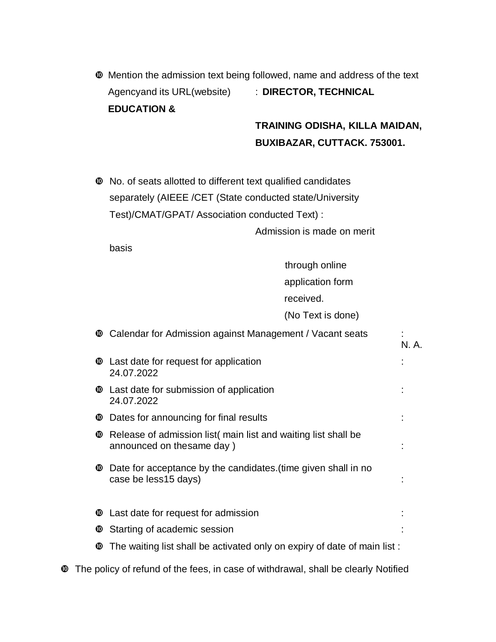Mention the admission text being followed, name and address of the text Agencyand its URL(website) : **DIRECTOR, TECHNICAL EDUCATION &**

## **TRAINING ODISHA, KILLA MAIDAN, BUXIBAZAR, CUTTACK. 753001.**

 No. of seats allotted to different text qualified candidates separately (AIEEE /CET (State conducted state/University Test)/CMAT/GPAT/ Association conducted Text) :

Admission is made on merit

basis

through online

application form

received.

(No Text is done)

|   |              | <b>Calendar for Admission against Management / Vacant seats</b>                            | N. A. |
|---|--------------|--------------------------------------------------------------------------------------------|-------|
|   |              | <b><math>\bullet</math></b> Last date for request for application<br>24.07.2022            |       |
|   | $\mathbf{C}$ | Last date for submission of application<br>24.07.2022                                      |       |
|   |              | <b><math>\bullet</math></b> Dates for announcing for final results                         |       |
|   | ◍            | Release of admission list main list and waiting list shall be<br>announced on thesame day) |       |
|   | $\mathbf{C}$ | Date for acceptance by the candidates (time given shall in no<br>case be less15 days)      |       |
|   |              | <b><math>\bullet</math></b> Last date for request for admission                            |       |
|   |              | <b><sup><math>\Phi</math></sup></b> Starting of academic session                           |       |
|   | ◍            | The waiting list shall be activated only on expiry of date of main list:                   |       |
| ◍ |              | The policy of refund of the fees, in case of withdrawal, shall be clearly Notified         |       |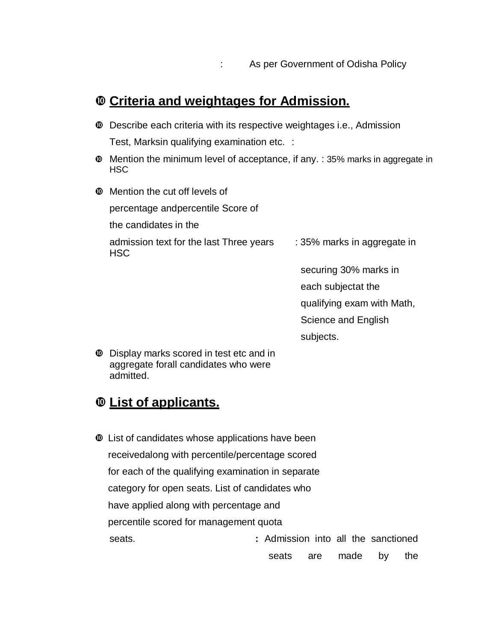## **Criteria and weightages for Admission.**

- Describe each criteria with its respective weightages i.e., Admission Test, Marksin qualifying examination etc. :
- Mention the minimum level of acceptance, if any. : 35% marks in aggregate in **HSC**
- Mention the cut off levels of

percentage andpercentile Score of

the candidates in the

admission text for the last Three years : 35% marks in aggregate in **HSC** 

securing 30% marks in

each subjectat the

qualifying exam with Math,

Science and English

subjects.

 Display marks scored in test etc and in aggregate forall candidates who were admitted.

### **List of applicants.**

 List of candidates whose applications have been receivedalong with percentile/percentage scored for each of the qualifying examination in separate category for open seats. List of candidates who have applied along with percentage and percentile scored for management quota seats. **:** Admission into all the sanctioned seats are made by the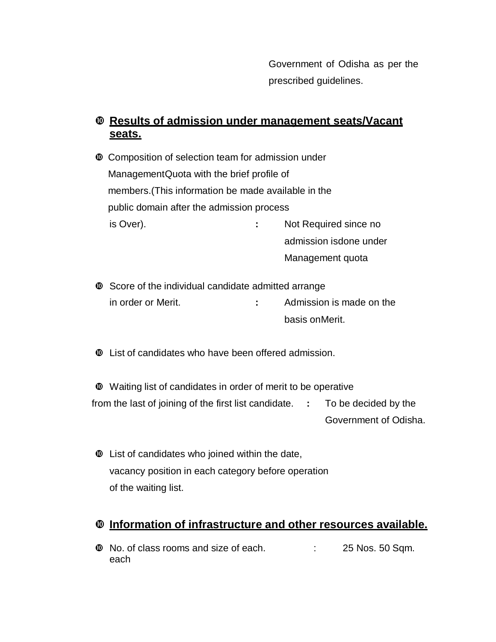Government of Odisha as per the prescribed guidelines.

#### **Results of admission under management seats/Vacant seats.**

 Composition of selection team for admission under ManagementQuota with the brief profile of members.(This information be made available in the public domain after the admission process is Over). **:** Not Required since no admission isdone under Management quota

 $\bullet$  Score of the individual candidate admitted arrange in order or Merit. **:** Admission is made on the basis onMerit.

List of candidates who have been offered admission.

 Waiting list of candidates in order of merit to be operative from the last of joining of the first list candidate. **:** To be decided by the Government of Odisha.

 List of candidates who joined within the date, vacancy position in each category before operation of the waiting list.

#### **Information of infrastructure and other resources available.**

 $\Phi$  No. of class rooms and size of each.  $\qquad \qquad$  : 25 Nos. 50 Sqm. each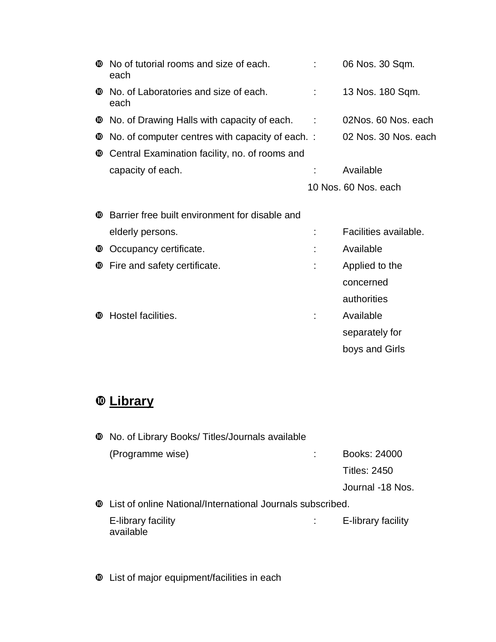|            | <b><math>\bullet</math></b> No of tutorial rooms and size of each.<br>each        |     | 06 Nos. 30 Sqm.       |
|------------|-----------------------------------------------------------------------------------|-----|-----------------------|
|            | <b><sup><math>\Phi</math></sup></b> No. of Laboratories and size of each.<br>each |     | 13 Nos. 180 Sqm.      |
|            | <b><math>\bullet</math></b> No. of Drawing Halls with capacity of each.           | - 1 | 02Nos. 60 Nos. each   |
| $\bf \Phi$ | No. of computer centres with capacity of each. :                                  |     | 02 Nos. 30 Nos. each  |
| ◍          | Central Examination facility, no. of rooms and                                    |     |                       |
|            | capacity of each.                                                                 |     | Available             |
|            |                                                                                   |     | 10 Nos. 60 Nos. each  |
| ◍          | Barrier free built environment for disable and                                    |     |                       |
|            | elderly persons.                                                                  |     | Facilities available. |
| ⑩          | Occupancy certificate.                                                            |     | Available             |
| ⑩          | Fire and safety certificate.                                                      |     | Applied to the        |
|            |                                                                                   |     | concerned             |
|            |                                                                                   |     | authorities           |
| ◍          | Hostel facilities.                                                                |     | Available             |
|            |                                                                                   |     | separately for        |
|            |                                                                                   |     | boys and Girls        |

# **Library**

| <b><sup>1</sup></b> No. of Library Books/Titles/Journals available                  |                    |
|-------------------------------------------------------------------------------------|--------------------|
| (Programme wise)                                                                    | Books: 24000       |
|                                                                                     | Titles: 2450       |
|                                                                                     | Journal -18 Nos.   |
| <b><math>\Phi</math></b> List of online National/International Journals subscribed. |                    |
| E-library facility<br>available                                                     | E-library facility |

List of major equipment/facilities in each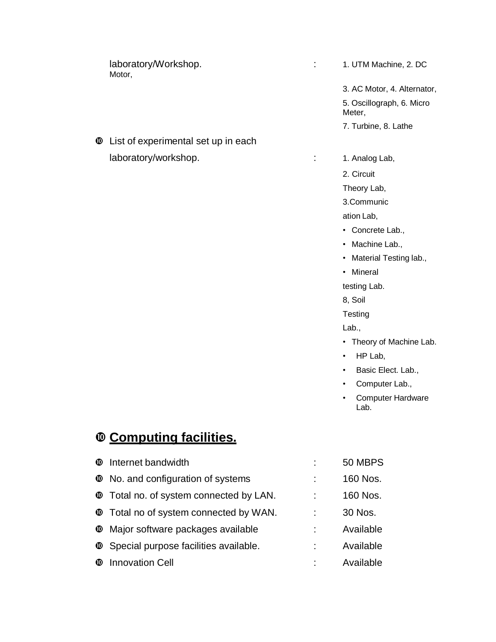laboratory/Workshop.  $\qquad \qquad : \qquad 1.$  UTM Machine, 2. DC Motor,

 $\Phi$  List of experimental set up in each laboratory/workshop.  $\qquad \qquad$  : 1. Analog Lab,

3. AC Motor, 4. Alternator, 5. Oscillograph, 6. Micro Meter,

- 7. Turbine, 8. Lathe
- 

2. Circuit

Theory Lab,

3.Communic

ation Lab,

- Concrete Lab.,
- Machine Lab.,
- Material Testing lab.,
- Mineral

testing Lab.

8, Soil

**Testing** 

Lab.,

- Theory of Machine Lab.
- HP Lab,
- Basic Elect. Lab.,
- Computer Lab.,
- Computer Hardware Lab.

## **Computing facilities.**

| <b><sup><math>\Phi</math></sup></b> Internet bandwidth                    | 50 MBPS   |
|---------------------------------------------------------------------------|-----------|
| <b><math>\bullet</math></b> No. and configuration of systems              | 160 Nos.  |
| <b>T</b> Total no. of system connected by LAN.                            | 160 Nos.  |
| <b><math>\Phi</math></b> Total no of system connected by WAN.             | 30 Nos.   |
| <b><sup>®</sup></b> Major software packages available                     | Available |
| <b><sup><math>\Phi</math></sup></b> Special purpose facilities available. | Available |
| <b><sup><math>\Phi</math></sup></b> Innovation Cell                       | Available |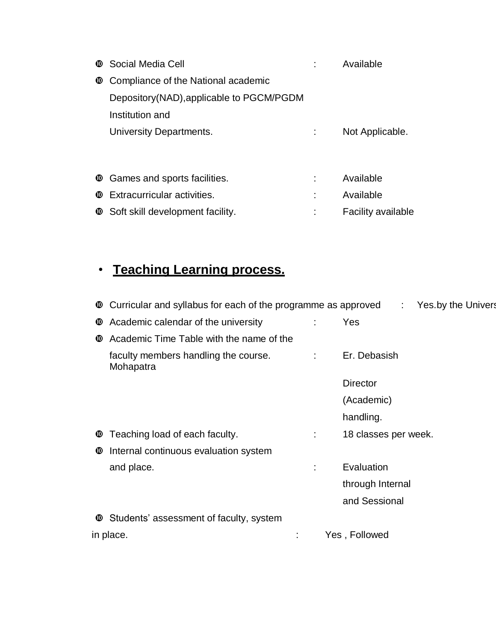|              | <b>C</b> Social Media Cell                                   | Available                 |
|--------------|--------------------------------------------------------------|---------------------------|
| $\mathbf{C}$ | Compliance of the National academic                          |                           |
|              | Depository (NAD), applicable to PGCM/PGDM                    |                           |
|              | Institution and                                              |                           |
|              | University Departments.                                      | Not Applicable.           |
|              |                                                              |                           |
|              |                                                              |                           |
|              | <b><math>\bullet</math></b> Games and sports facilities.     | Available                 |
| ⑩            | Extracurricular activities.                                  | Available                 |
|              | <b><math>\bullet</math></b> Soft skill development facility. | <b>Facility available</b> |

# • **Teaching Learning process.**

|   | <b><math>\Phi</math></b> Curricular and syllabus for each of the programme as approved | : Yes.by the Univers |
|---|----------------------------------------------------------------------------------------|----------------------|
| ◍ | Academic calendar of the university                                                    | Yes                  |
| ◍ | Academic Time Table with the name of the                                               |                      |
|   | faculty members handling the course.<br>Mohapatra                                      | Er. Debasish         |
|   |                                                                                        | <b>Director</b>      |
|   |                                                                                        | (Academic)           |
|   |                                                                                        | handling.            |
| ◍ | Teaching load of each faculty.                                                         | 18 classes per week. |
| ◍ | Internal continuous evaluation system                                                  |                      |
|   | and place.                                                                             | Evaluation           |
|   |                                                                                        | through Internal     |
|   |                                                                                        | and Sessional        |
|   | <b><sup>1</sup></b> Students' assessment of faculty, system                            |                      |
|   | in place.                                                                              | Yes, Followed        |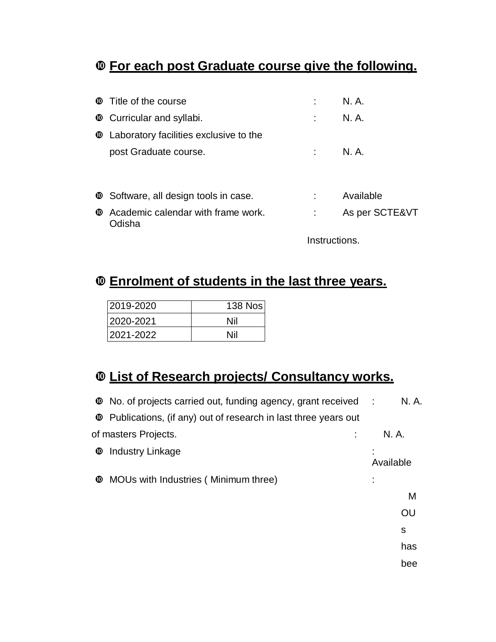## **For each post Graduate course give the following.**

| <b><math>\Phi</math></b> Title of the course                          |               | N. A.          |
|-----------------------------------------------------------------------|---------------|----------------|
| <b><math>\bullet</math></b> Curricular and syllabi.                   |               | N. A.          |
| <b>C</b> Laboratory facilities exclusive to the                       |               |                |
| post Graduate course.                                                 |               | N. A.          |
|                                                                       |               |                |
| <b>C</b> Software, all design tools in case.                          |               | Available      |
| <b><math>\Phi</math></b> Academic calendar with frame work.<br>Odisha |               | As per SCTE&VT |
|                                                                       | Instructions. |                |

## **Enrolment of students in the last three years.**

| 2019-2020 | <b>138 Nos</b> |
|-----------|----------------|
| 2020-2021 | Nil            |
| 2021-2022 | Nil            |

## **List of Research projects/ Consultancy works.**

|   | <b>Theory</b> No. of projects carried out, funding agency, grant received : |           | N. A. |
|---|-----------------------------------------------------------------------------|-----------|-------|
|   | <b>C</b> Publications, (if any) out of research in last three years out     |           |       |
|   | of masters Projects.                                                        | N. A.     |       |
| ◍ | Industry Linkage                                                            | Available |       |
| ◍ | MOUs with Industries (Minimum three)                                        |           |       |
|   |                                                                             |           | M     |
|   |                                                                             |           | OU    |
|   |                                                                             |           | S     |
|   |                                                                             |           | has   |
|   |                                                                             |           | bee   |
|   |                                                                             |           |       |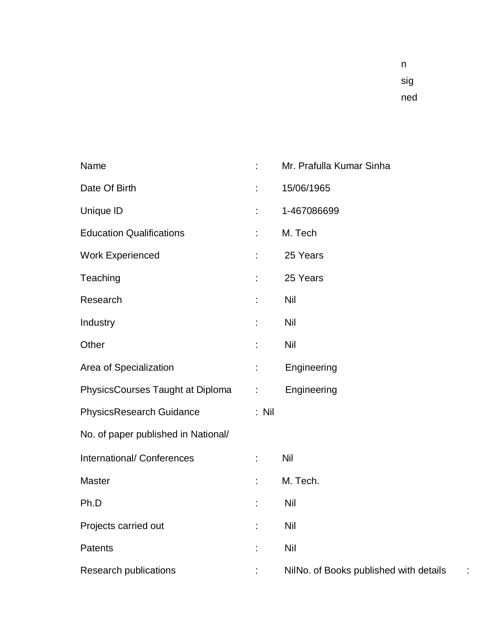| Name                                | t.      | Mr. Prafulla Kumar Sinha               |
|-------------------------------------|---------|----------------------------------------|
| Date Of Birth                       | t,      | 15/06/1965                             |
| Unique ID                           | t.      | 1-467086699                            |
| <b>Education Qualifications</b>     | t,      | M. Tech                                |
| <b>Work Experienced</b>             | t,      | 25 Years                               |
| Teaching                            | t.      | 25 Years                               |
| Research                            | t,      | Nil                                    |
| Industry                            | t,      | Nil                                    |
| Other                               | t,      | Nil                                    |
| Area of Specialization              | t.      | Engineering                            |
| PhysicsCourses Taught at Diploma    | ÷.      | Engineering                            |
| PhysicsResearch Guidance            | $:$ Nil |                                        |
| No. of paper published in National/ |         |                                        |
| International/ Conferences          | ÷.      | <b>Nil</b>                             |
| Master                              | t,      | M. Tech.                               |
| Ph.D                                | t,      | Nil                                    |
| Projects carried out                | t       | <b>Nil</b>                             |
| Patents                             | t,      | <b>Nil</b>                             |
| <b>Research publications</b>        | t,      | NilNo. of Books published with details |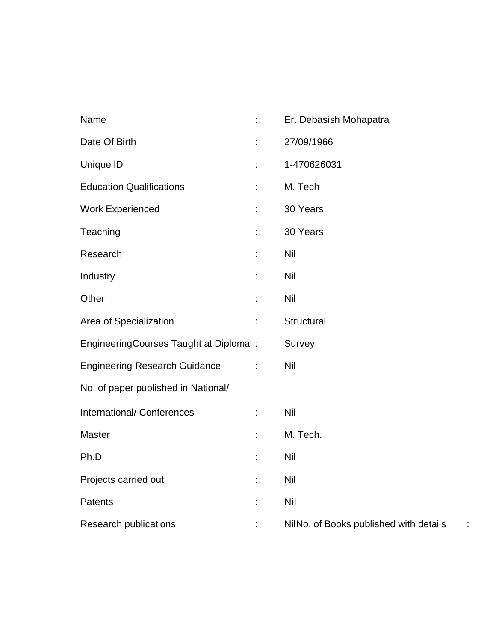| Name                                  | t, | Er. Debasish Mohapatra                       |
|---------------------------------------|----|----------------------------------------------|
| Date Of Birth                         | t  | 27/09/1966                                   |
| Unique ID                             | t  | 1-470626031                                  |
| <b>Education Qualifications</b>       | t, | M. Tech                                      |
| <b>Work Experienced</b>               | t, | 30 Years                                     |
| Teaching                              | t, | 30 Years                                     |
| Research                              | t  | <b>Nil</b>                                   |
| Industry                              | t  | Nil                                          |
| Other                                 | t  | Nil                                          |
| Area of Specialization                | t  | Structural                                   |
| EngineeringCourses Taught at Diploma: |    | Survey                                       |
| <b>Engineering Research Guidance</b>  | ÷  | Nil                                          |
| No. of paper published in National/   |    |                                              |
| International/ Conferences            | ÷. | <b>Nil</b>                                   |
| <b>Master</b>                         | t, | M. Tech.                                     |
| Ph.D                                  | t, | Nil                                          |
| Projects carried out                  | t  | Nil                                          |
| Patents                               | t  | <b>Nil</b>                                   |
| <b>Research publications</b>          | t  | NilNo. of Books published with details<br>t, |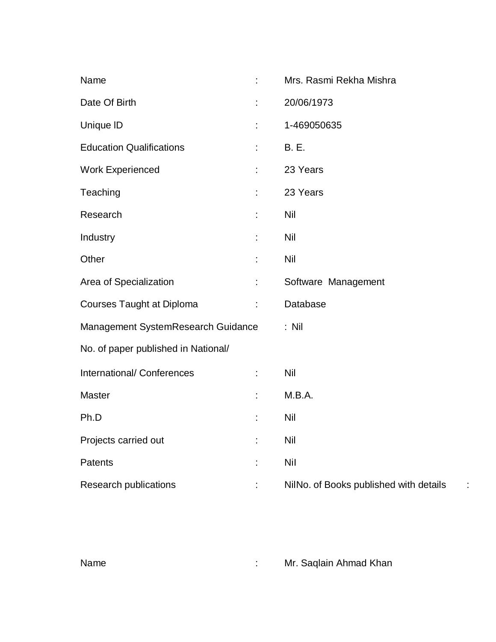| Name                                |    | Mrs. Rasmi Rekha Mishra                |
|-------------------------------------|----|----------------------------------------|
| Date Of Birth                       |    | 20/06/1973                             |
| Unique ID                           |    | 1-469050635                            |
| <b>Education Qualifications</b>     | t  | <b>B.</b> E.                           |
| <b>Work Experienced</b>             | t. | 23 Years                               |
| Teaching                            | t  | 23 Years                               |
| Research                            | t  | Nil                                    |
| Industry                            | t  | Nil                                    |
| Other                               |    | <b>Nil</b>                             |
| Area of Specialization              | t. | Software Management                    |
| <b>Courses Taught at Diploma</b>    | t  | Database                               |
| Management SystemResearch Guidance  |    | $:$ Nil                                |
| No. of paper published in National/ |    |                                        |
| International/ Conferences          | ÷  | Nil                                    |
| <b>Master</b>                       | t  | M.B.A.                                 |
| Ph.D                                | t  | Nil                                    |
| Projects carried out                | t  | Nil                                    |
| Patents                             | t  | <b>Nil</b>                             |
| Research publications               |    | NilNo. of Books published with details |

Name : Mr. Saqlain Ahmad Khan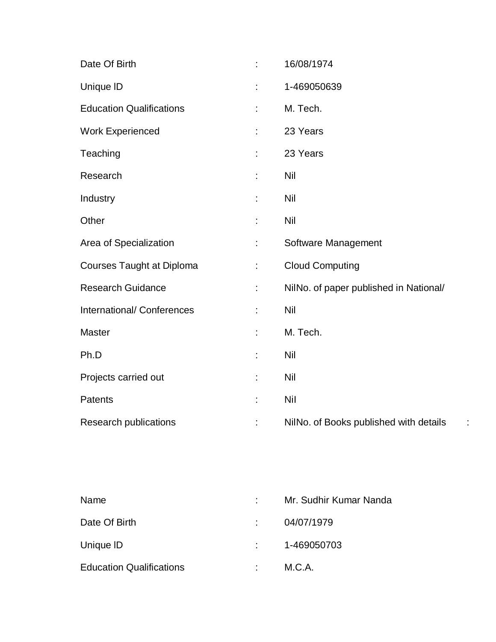| Date Of Birth                    | ÷  | 16/08/1974                             |
|----------------------------------|----|----------------------------------------|
| Unique ID                        |    | 1-469050639                            |
| <b>Education Qualifications</b>  | ÷  | M. Tech.                               |
| <b>Work Experienced</b>          |    | 23 Years                               |
| Teaching                         | ÷  | 23 Years                               |
| Research                         |    | Nil                                    |
| Industry                         | ÷  | Nil                                    |
| Other                            |    | Nil                                    |
| Area of Specialization           | ÷. | Software Management                    |
| <b>Courses Taught at Diploma</b> |    | <b>Cloud Computing</b>                 |
| <b>Research Guidance</b>         | ÷. | NilNo. of paper published in National/ |
| International/ Conferences       |    | Nil                                    |
| <b>Master</b>                    |    | M. Tech.                               |
| Ph.D                             |    | Nil                                    |
| Projects carried out             | t, | Nil                                    |
| Patents                          |    | <b>Nil</b>                             |
| <b>Research publications</b>     | ÷  | NilNo. of Books published with details |

| Name                            | Mr. Sudhir Kumar Nanda |
|---------------------------------|------------------------|
| Date Of Birth                   | 04/07/1979             |
| Unique ID                       | 1-469050703            |
| <b>Education Qualifications</b> | M.C.A.                 |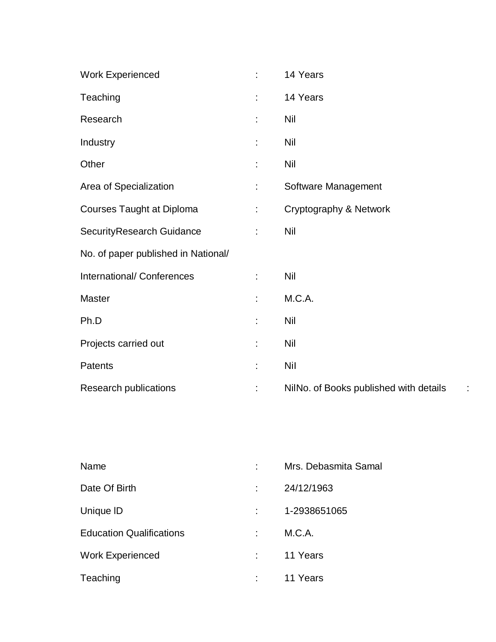| <b>Work Experienced</b>             | ÷  | 14 Years                                    |
|-------------------------------------|----|---------------------------------------------|
| Teaching                            | ÷  | 14 Years                                    |
| Research                            |    | <b>Nil</b>                                  |
| Industry                            |    | <b>Nil</b>                                  |
| Other                               |    | <b>Nil</b>                                  |
| Area of Specialization              |    | Software Management                         |
| <b>Courses Taught at Diploma</b>    | t. | Cryptography & Network                      |
| SecurityResearch Guidance           | t. | <b>Nil</b>                                  |
| No. of paper published in National/ |    |                                             |
| International/ Conferences          | ÷  | Nil                                         |
| Master                              | ÷  | M.C.A.                                      |
| Ph.D                                | t  | <b>Nil</b>                                  |
| Projects carried out                | t  | <b>Nil</b>                                  |
| Patents                             | t  | <b>Nil</b>                                  |
| Research publications               | t  | NilNo. of Books published with details<br>÷ |

| Name                            | Mrs. Debasmita Samal |
|---------------------------------|----------------------|
| Date Of Birth                   | 24/12/1963           |
| Unique ID                       | 1-2938651065         |
| <b>Education Qualifications</b> | M.C.A.               |
| <b>Work Experienced</b>         | 11 Years             |
| Teaching                        | 11 Years             |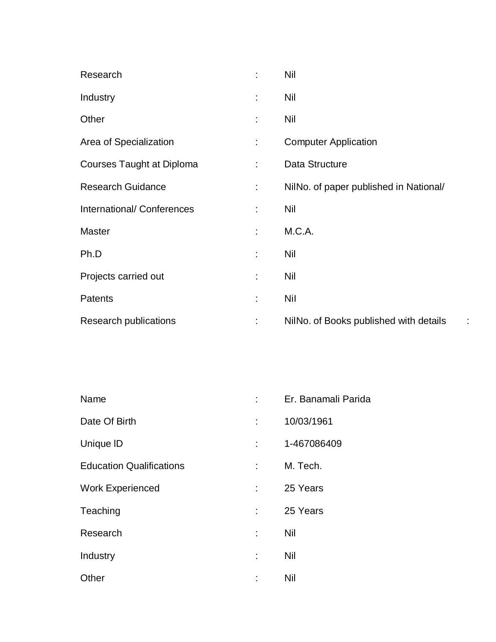| Research                         | ÷  | <b>Nil</b>                                  |
|----------------------------------|----|---------------------------------------------|
| Industry                         | t  | Nil                                         |
| Other                            | ÷  | <b>Nil</b>                                  |
| Area of Specialization           | ÷. | <b>Computer Application</b>                 |
| <b>Courses Taught at Diploma</b> | ÷  | Data Structure                              |
| <b>Research Guidance</b>         | ÷  | NilNo. of paper published in National/      |
| International/ Conferences       | ÷  | <b>Nil</b>                                  |
| <b>Master</b>                    | ÷  | M.C.A.                                      |
| Ph.D                             | ÷  | <b>Nil</b>                                  |
| Projects carried out             | t  | <b>Nil</b>                                  |
| <b>Patents</b>                   | ÷  | Nil                                         |
| Research publications            | t, | NilNo. of Books published with details<br>÷ |

| Name                            |   | Er. Banamali Parida |
|---------------------------------|---|---------------------|
| Date Of Birth                   |   | 10/03/1961          |
| Unique ID                       | t | 1-467086409         |
| <b>Education Qualifications</b> | ÷ | M. Tech.            |
| <b>Work Experienced</b>         |   | 25 Years            |
| Teaching                        | t | 25 Years            |
| Research                        | t | Nil                 |
| Industry                        | t | Nil                 |
| Other                           | t | Nil                 |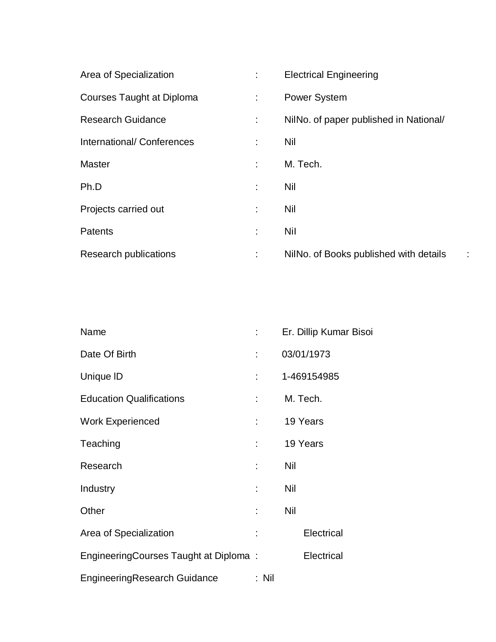| Area of Specialization    | t. | <b>Electrical Engineering</b>          |
|---------------------------|----|----------------------------------------|
| Courses Taught at Diploma | ÷  | <b>Power System</b>                    |
| <b>Research Guidance</b>  | ÷  | NilNo. of paper published in National/ |
| International/Conferences | ÷  | Nil                                    |
| <b>Master</b>             |    | M. Tech.                               |
| Ph.D                      | t  | Nil                                    |
| Projects carried out      | ÷  | Nil                                    |
| <b>Patents</b>            |    | <b>Nil</b>                             |
| Research publications     | ÷  | NilNo. of Books published with details |

| Name                                  |                               | Er. Dillip Kumar Bisoi |
|---------------------------------------|-------------------------------|------------------------|
| Date Of Birth                         |                               | 03/01/1973             |
| Unique ID                             | t in                          | 1-469154985            |
| <b>Education Qualifications</b>       | $\mathbb{Z}^{\mathbb{Z}^n}$ . | M. Tech.               |
| <b>Work Experienced</b>               | t in                          | 19 Years               |
| Teaching                              | bilin 1                       | 19 Years               |
| Research                              | t.                            | Nil                    |
| Industry                              | $\mathbb{R}^{\mathbb{Z}}$     | Nil                    |
| Other                                 | t.                            | Nil                    |
| Area of Specialization                |                               | Electrical             |
| EngineeringCourses Taught at Diploma: |                               | Electrical             |
| EngineeringResearch Guidance          | : Nil                         |                        |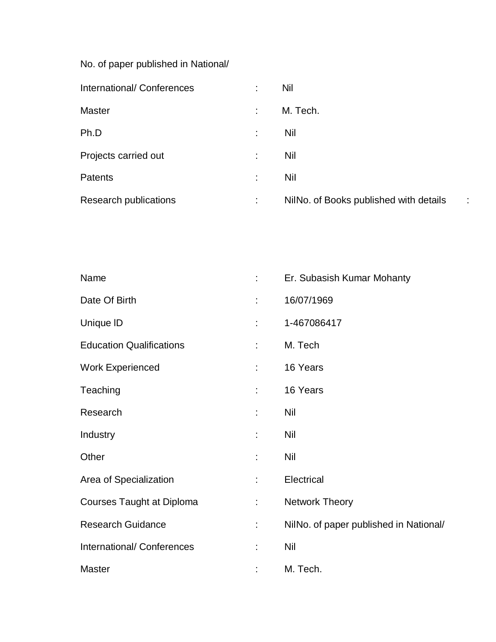No. of paper published in National/

| International/Conferences    |   | Nil                                    |   |
|------------------------------|---|----------------------------------------|---|
| <b>Master</b>                | ÷ | M. Tech.                               |   |
| Ph.D                         | ÷ | Nil                                    |   |
| Projects carried out         | ÷ | Nil                                    |   |
| <b>Patents</b>               | t | Nil                                    |   |
| <b>Research publications</b> | ÷ | NilNo. of Books published with details | ÷ |

| Name                             | ÷  | Er. Subasish Kumar Mohanty             |
|----------------------------------|----|----------------------------------------|
| Date Of Birth                    | ÷  | 16/07/1969                             |
| Unique ID                        | ÷  | 1-467086417                            |
| <b>Education Qualifications</b>  | ÷  | M. Tech                                |
| <b>Work Experienced</b>          | ÷. | 16 Years                               |
| Teaching                         | ÷  | 16 Years                               |
| Research                         | ÷  | <b>Nil</b>                             |
| Industry                         | t, | <b>Nil</b>                             |
| Other                            | ÷  | <b>Nil</b>                             |
| Area of Specialization           | ÷  | Electrical                             |
| <b>Courses Taught at Diploma</b> | ÷  | <b>Network Theory</b>                  |
| <b>Research Guidance</b>         | t, | NilNo. of paper published in National/ |
| International/Conferences        | ÷  | <b>Nil</b>                             |
| <b>Master</b>                    | t  | M. Tech.                               |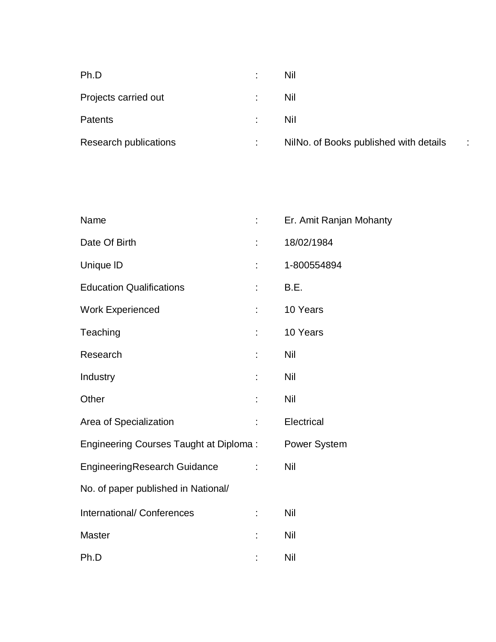| Ph.D                  | Nil                                    |                      |
|-----------------------|----------------------------------------|----------------------|
| Projects carried out  | Nil                                    |                      |
| Patents               | Nil                                    |                      |
| Research publications | NilNo. of Books published with details | ٠.<br>$\blacksquare$ |

| Name                                   |    | Er. Amit Ranjan Mohanty |
|----------------------------------------|----|-------------------------|
| Date Of Birth                          |    | 18/02/1984              |
| Unique ID                              |    | 1-800554894             |
| <b>Education Qualifications</b>        |    | B.E.                    |
| <b>Work Experienced</b>                |    | 10 Years                |
| Teaching                               |    | 10 Years                |
| Research                               |    | Nil                     |
| Industry                               |    | Nil                     |
| Other                                  |    | Nil                     |
| Area of Specialization                 | t  | Electrical              |
| Engineering Courses Taught at Diploma: |    | Power System            |
| <b>EngineeringResearch Guidance</b>    | t, | Nil                     |
| No. of paper published in National/    |    |                         |
| <b>International/ Conferences</b>      |    | Nil                     |
| <b>Master</b>                          | t  | Nil                     |
| Ph.D                                   |    | Nil                     |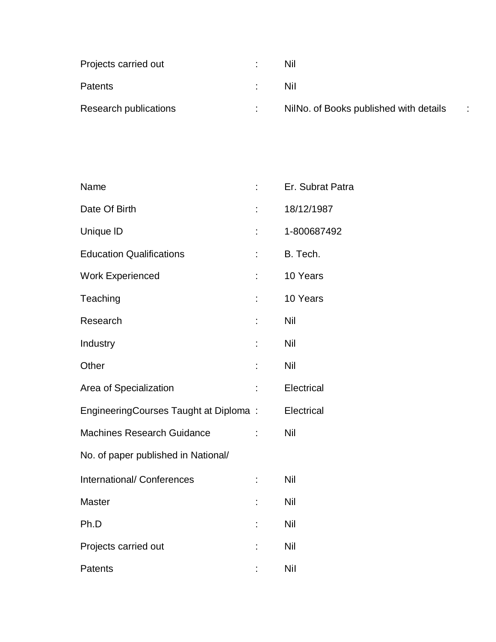| Projects carried out  | Nil                                    |    |
|-----------------------|----------------------------------------|----|
| <b>Patents</b>        | Nil                                    |    |
| Research publications | NilNo. of Books published with details | л. |

| Name                                  |   | Er. Subrat Patra |
|---------------------------------------|---|------------------|
| Date Of Birth                         |   | 18/12/1987       |
| Unique ID                             |   | 1-800687492      |
| <b>Education Qualifications</b>       |   | B. Tech.         |
| <b>Work Experienced</b>               |   | 10 Years         |
| Teaching                              |   | 10 Years         |
| Research                              | t | Nil              |
| Industry                              |   | Nil              |
| Other                                 |   | Nil              |
| Area of Specialization                |   | Electrical       |
| EngineeringCourses Taught at Diploma: |   | Electrical       |
| <b>Machines Research Guidance</b>     |   | Nil              |
| No. of paper published in National/   |   |                  |
| <b>International/ Conferences</b>     |   | Nil              |
| <b>Master</b>                         |   | Nil              |
| Ph.D                                  |   | Nil              |
| Projects carried out                  |   | Nil              |
| <b>Patents</b>                        |   | Nil              |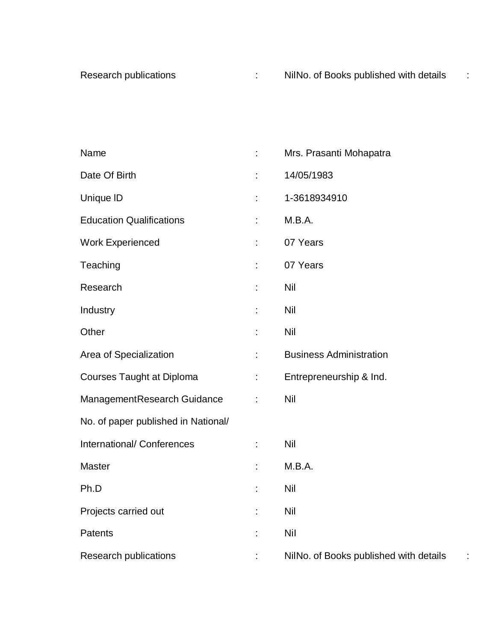| Name                                | t, | Mrs. Prasanti Mohapatra                |
|-------------------------------------|----|----------------------------------------|
| Date Of Birth                       |    | 14/05/1983                             |
| Unique ID                           | t, | 1-3618934910                           |
| <b>Education Qualifications</b>     | t  | M.B.A.                                 |
| <b>Work Experienced</b>             | t, | 07 Years                               |
| Teaching                            |    | 07 Years                               |
| Research                            |    | <b>Nil</b>                             |
| Industry                            | t  | <b>Nil</b>                             |
| Other                               |    | <b>Nil</b>                             |
| Area of Specialization              | t. | <b>Business Administration</b>         |
| <b>Courses Taught at Diploma</b>    | t, | Entrepreneurship & Ind.                |
| ManagementResearch Guidance         | t  | <b>Nil</b>                             |
| No. of paper published in National/ |    |                                        |
| International/ Conferences          | t, | Nil                                    |
| <b>Master</b>                       |    | M.B.A.                                 |
| Ph.D                                |    | Nil                                    |
| Projects carried out                |    | <b>Nil</b>                             |
| Patents                             |    | <b>Nil</b>                             |
| Research publications               |    | NilNo. of Books published with details |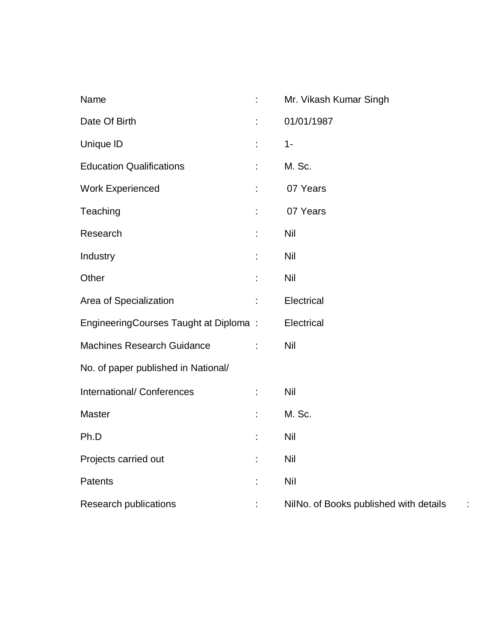| Name                                  | ÷  | Mr. Vikash Kumar Singh                 |
|---------------------------------------|----|----------------------------------------|
| Date Of Birth                         | t  | 01/01/1987                             |
| Unique ID                             | t, | $1 -$                                  |
| <b>Education Qualifications</b>       | t  | M. Sc.                                 |
| <b>Work Experienced</b>               | t. | 07 Years                               |
| Teaching                              | t  | 07 Years                               |
| Research                              |    | Nil                                    |
| Industry                              | t  | Nil                                    |
| Other                                 | t  | Nil                                    |
| Area of Specialization                | t  | Electrical                             |
| EngineeringCourses Taught at Diploma: |    | Electrical                             |
| <b>Machines Research Guidance</b>     | ÷  | Nil                                    |
| No. of paper published in National/   |    |                                        |
| International/ Conferences            | ÷. | <b>Nil</b>                             |
| Master                                |    | M. Sc.                                 |
| Ph.D                                  | t  | Nil                                    |
| Projects carried out                  | t  | <b>Nil</b>                             |
| Patents                               | t  | <b>Nil</b>                             |
| <b>Research publications</b>          | t, | NilNo. of Books published with details |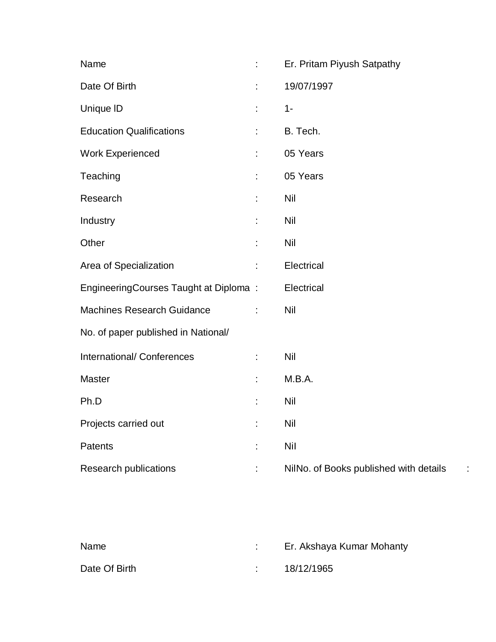| Name                                  |    | Er. Pritam Piyush Satpathy                  |
|---------------------------------------|----|---------------------------------------------|
| Date Of Birth                         | t  | 19/07/1997                                  |
| Unique ID                             | ÷  | $1 -$                                       |
| <b>Education Qualifications</b>       | t  | B. Tech.                                    |
| <b>Work Experienced</b>               |    | 05 Years                                    |
| Teaching                              | t  | 05 Years                                    |
| Research                              |    | Nil                                         |
| Industry                              |    | <b>Nil</b>                                  |
| Other                                 | t  | Nil                                         |
| Area of Specialization                | t  | Electrical                                  |
| EngineeringCourses Taught at Diploma: |    | Electrical                                  |
| <b>Machines Research Guidance</b>     | ÷  | Nil                                         |
| No. of paper published in National/   |    |                                             |
| International/ Conferences            | ÷  | <b>Nil</b>                                  |
| <b>Master</b>                         | ÷  | M.B.A.                                      |
| Ph.D                                  | t  | Nil                                         |
| Projects carried out                  | t  | <b>Nil</b>                                  |
| Patents                               | t  | <b>Nil</b>                                  |
| <b>Research publications</b>          | t. | NilNo. of Books published with details<br>÷ |

| Name          | Er. Akshaya Kumar Mohanty |
|---------------|---------------------------|
| Date Of Birth | 18/12/1965                |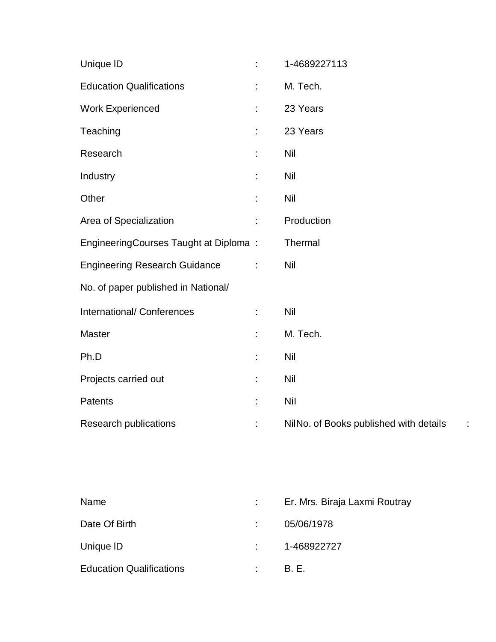| Unique ID                             | ÷.            | 1-4689227113                           |
|---------------------------------------|---------------|----------------------------------------|
| <b>Education Qualifications</b>       | t,            | M. Tech.                               |
| <b>Work Experienced</b>               | t,            | 23 Years                               |
| Teaching                              | t             | 23 Years                               |
| Research                              | t,            | Nil                                    |
| Industry                              |               | Nil                                    |
| Other                                 | ÷             | Nil                                    |
| Area of Specialization                | t,            | Production                             |
| EngineeringCourses Taught at Diploma: |               | Thermal                                |
| <b>Engineering Research Guidance</b>  | $\ddot{\phi}$ | <b>Nil</b>                             |
| No. of paper published in National/   |               |                                        |
| International/ Conferences            | t,            | Nil                                    |
| <b>Master</b>                         | t,            | M. Tech.                               |
| Ph.D                                  | t             | Nil                                    |
| Projects carried out                  | t,            | Nil                                    |
| Patents                               | t             | <b>Nil</b>                             |
| <b>Research publications</b>          | t,            | NilNo. of Books published with details |

| Name                            |                            | Er. Mrs. Biraja Laxmi Routray |
|---------------------------------|----------------------------|-------------------------------|
| Date Of Birth                   |                            | 05/06/1978                    |
| Unique ID                       |                            | $: 1 - 468922727$             |
| <b>Education Qualifications</b> | $\mathcal{L}^{\text{max}}$ | <b>B.F.</b>                   |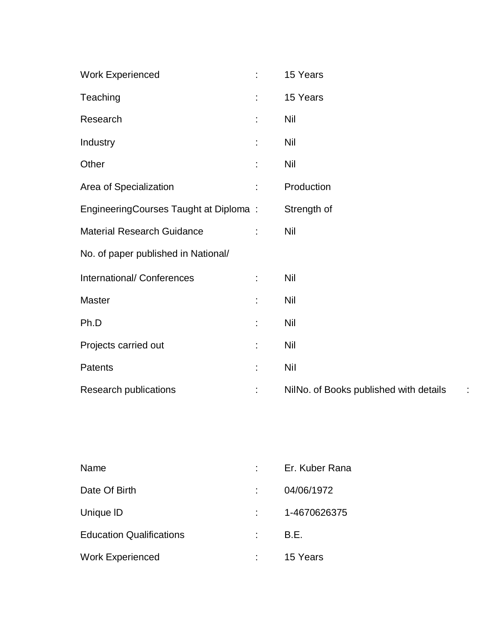| <b>Work Experienced</b>               | ÷  | 15 Years                               |
|---------------------------------------|----|----------------------------------------|
| Teaching                              | t. | 15 Years                               |
| Research                              |    | <b>Nil</b>                             |
| Industry                              |    | <b>Nil</b>                             |
| Other                                 |    | <b>Nil</b>                             |
| Area of Specialization                | t. | Production                             |
| EngineeringCourses Taught at Diploma: |    | Strength of                            |
| <b>Material Research Guidance</b>     |    | <b>Nil</b>                             |
| No. of paper published in National/   |    |                                        |
| International/ Conferences            | ÷  | Nil                                    |
| Master                                | ÷  | <b>Nil</b>                             |
| Ph.D                                  | ÷  | <b>Nil</b>                             |
| Projects carried out                  | t. | <b>Nil</b>                             |
| Patents                               | t. | <b>Nil</b>                             |
| Research publications                 |    | NilNo. of Books published with details |

| Name                            | Er. Kuber Rana |
|---------------------------------|----------------|
| Date Of Birth                   | 04/06/1972     |
| Unique ID                       | 1-4670626375   |
| <b>Education Qualifications</b> | B.E.           |
| <b>Work Experienced</b>         | 15 Years       |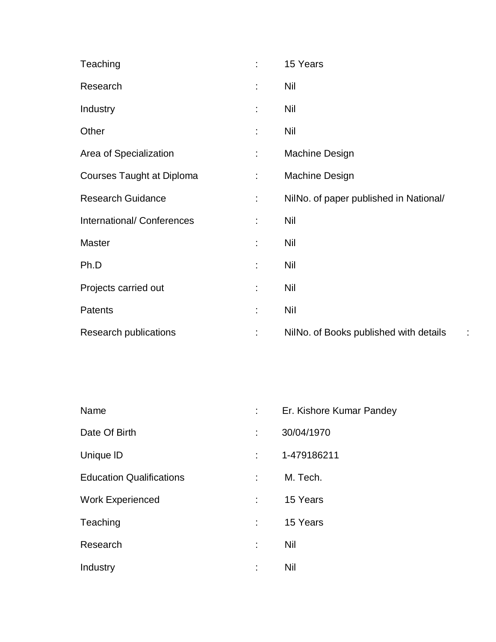| Teaching                         | t  | 15 Years                               |
|----------------------------------|----|----------------------------------------|
| Research                         | t  | Nil                                    |
| Industry                         | t. | Nil                                    |
| Other                            | t. | <b>Nil</b>                             |
| Area of Specialization           | ÷. | Machine Design                         |
| <b>Courses Taught at Diploma</b> | ÷. | Machine Design                         |
| <b>Research Guidance</b>         | ÷  | NilNo. of paper published in National/ |
| International/Conferences        | ÷  | <b>Nil</b>                             |
| Master                           | t. | <b>Nil</b>                             |
| Ph.D                             | t  | Nil                                    |
| Projects carried out             | t, | Nil                                    |
| Patents                          | t  | Nil                                    |
| <b>Research publications</b>     | t, | NilNo. of Books published with details |

| Name                            | Er. Kishore Kumar Pandey |
|---------------------------------|--------------------------|
| Date Of Birth                   | 30/04/1970               |
| Unique ID                       | 1-479186211              |
| <b>Education Qualifications</b> | M. Tech.                 |
| <b>Work Experienced</b>         | 15 Years                 |
| Teaching                        | 15 Years                 |
| Research                        | Nil                      |
| Industry                        | Nil                      |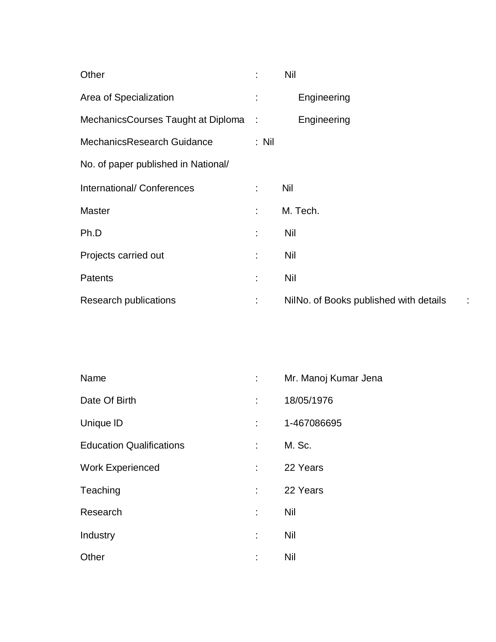| Other                               | ÷       | Nil                                    |
|-------------------------------------|---------|----------------------------------------|
| Area of Specialization              | ÷       | Engineering                            |
| MechanicsCourses Taught at Diploma: |         | Engineering                            |
| MechanicsResearch Guidance          | $:$ Nil |                                        |
| No. of paper published in National/ |         |                                        |
| International/ Conferences          | ÷       | Nil                                    |
| <b>Master</b>                       | t.      | M. Tech.                               |
| Ph.D                                | ÷       | Nil                                    |
| Projects carried out                | ÷       | Nil                                    |
| Patents                             | ÷       | <b>Nil</b>                             |
| <b>Research publications</b>        | ÷       | NilNo. of Books published with details |

| Name                            |   | Mr. Manoj Kumar Jena |
|---------------------------------|---|----------------------|
| Date Of Birth                   |   | 18/05/1976           |
| Unique ID                       |   | 1-467086695          |
| <b>Education Qualifications</b> | ÷ | M. Sc.               |
| <b>Work Experienced</b>         |   | 22 Years             |
| Teaching                        |   | 22 Years             |
| Research                        |   | Nil                  |
| Industry                        |   | Nil                  |
| Other                           |   | Nil                  |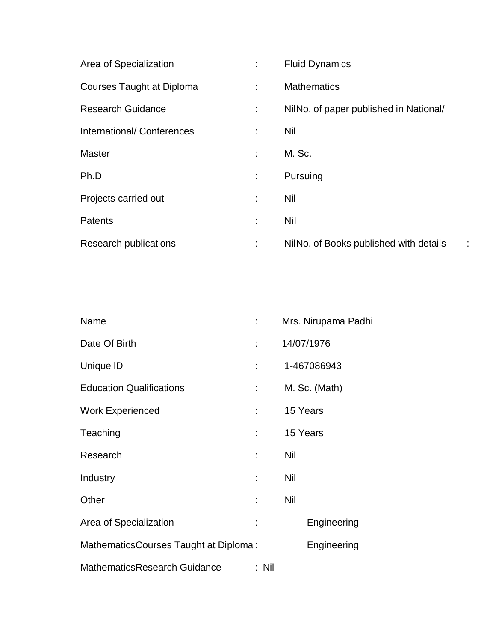| Area of Specialization    | ÷  | <b>Fluid Dynamics</b>                  |
|---------------------------|----|----------------------------------------|
| Courses Taught at Diploma | ÷  | <b>Mathematics</b>                     |
| <b>Research Guidance</b>  | ÷  | NilNo. of paper published in National/ |
| International/Conferences | ÷  | Nil                                    |
| <b>Master</b>             |    | M. Sc.                                 |
| Ph.D                      | ÷  | Pursuing                               |
| Projects carried out      | t  | Nil                                    |
| <b>Patents</b>            | t. | <b>Nil</b>                             |
| Research publications     | ÷  | NilNo. of Books published with details |

| Name                                  |                           | Mrs. Nirupama Padhi |
|---------------------------------------|---------------------------|---------------------|
| Date Of Birth                         | ÷                         | 14/07/1976          |
| Unique ID                             |                           | 1-467086943         |
| <b>Education Qualifications</b>       | $\mathbb{Z}^{\mathbb{Z}}$ | M. Sc. (Math)       |
| <b>Work Experienced</b>               |                           | 15 Years            |
| Teaching                              |                           | 15 Years            |
| Research                              | ÷                         | Nil                 |
| Industry                              |                           | Nil                 |
| Other                                 | ÷                         | Nil                 |
| Area of Specialization                | İ.                        | Engineering         |
| MathematicsCourses Taught at Diploma: |                           | Engineering         |
| MathematicsResearch Guidance          | : Nil                     |                     |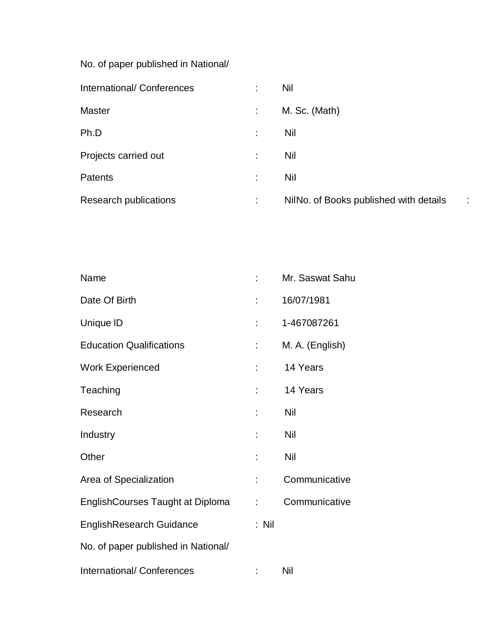No. of paper published in National/

| International/Conferences    |   | Nil                                    |   |
|------------------------------|---|----------------------------------------|---|
| <b>Master</b>                |   | M. Sc. (Math)                          |   |
| Ph.D                         |   | Nil                                    |   |
| Projects carried out         | t | Nil                                    |   |
| <b>Patents</b>               | t | <b>Nil</b>                             |   |
| <b>Research publications</b> | ÷ | NilNo. of Books published with details | ÷ |

| Name                                |       | Mr. Saswat Sahu |
|-------------------------------------|-------|-----------------|
| Date Of Birth                       |       | 16/07/1981      |
| Unique ID                           |       | 1-467087261     |
| <b>Education Qualifications</b>     |       | M. A. (English) |
| <b>Work Experienced</b>             |       | 14 Years        |
| Teaching                            |       | 14 Years        |
| Research                            |       | Nil             |
| Industry                            |       | Nil             |
| Other                               |       | Nil             |
| Area of Specialization              |       | Communicative   |
| EnglishCourses Taught at Diploma    | ÷     | Communicative   |
| <b>EnglishResearch Guidance</b>     | : Nil |                 |
| No. of paper published in National/ |       |                 |
| International/ Conferences          |       | Nil             |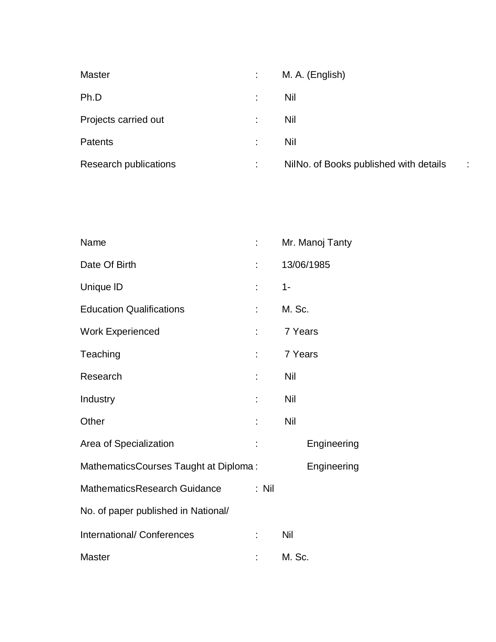| <b>Master</b>         |    | M. A. (English)                        |   |
|-----------------------|----|----------------------------------------|---|
| Ph.D                  |    | Nil                                    |   |
| Projects carried out  | ÷  | Nil                                    |   |
| Patents               | ۰. | Nil                                    |   |
| Research publications | ۰. | NilNo. of Books published with details | ÷ |

| Name                                  |         | Mr. Manoj Tanty |
|---------------------------------------|---------|-----------------|
| Date Of Birth                         |         | 13/06/1985      |
| Unique ID                             | t,      | $1 -$           |
| <b>Education Qualifications</b>       | t.      | M. Sc.          |
| <b>Work Experienced</b>               | t.      | 7 Years         |
| Teaching                              | t.      | 7 Years         |
| Research                              |         | Nil             |
| Industry                              |         | Nil             |
| Other                                 |         | Nil             |
| Area of Specialization                |         | Engineering     |
| MathematicsCourses Taught at Diploma: |         | Engineering     |
| MathematicsResearch Guidance          | $:$ Nil |                 |
| No. of paper published in National/   |         |                 |
| <b>International/ Conferences</b>     | ÷       | Nil             |
| <b>Master</b>                         |         | M. Sc.          |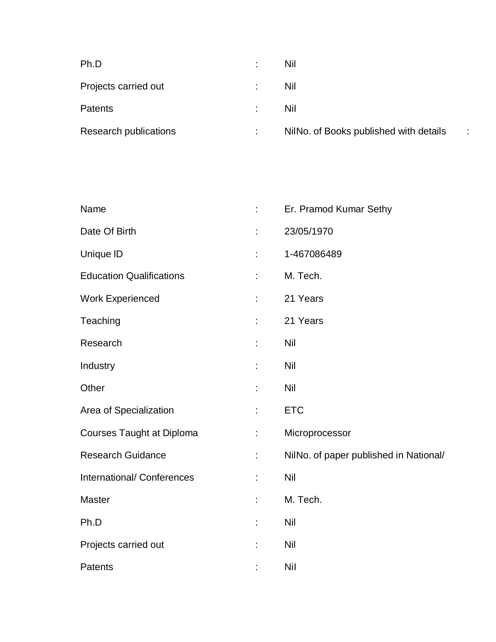| Ph.D                  | Nil                                    |    |
|-----------------------|----------------------------------------|----|
| Projects carried out  | Nil                                    |    |
| Patents               | Nil                                    |    |
| Research publications | NilNo. of Books published with details | ٠. |

| Name                             |    | Er. Pramod Kumar Sethy                 |
|----------------------------------|----|----------------------------------------|
| Date Of Birth                    |    | 23/05/1970                             |
| Unique ID                        |    | 1-467086489                            |
| <b>Education Qualifications</b>  | ÷. | M. Tech.                               |
| <b>Work Experienced</b>          |    | 21 Years                               |
| Teaching                         |    | 21 Years                               |
| Research                         | t  | Nil                                    |
| Industry                         | t, | Nil                                    |
| Other                            | t  | <b>Nil</b>                             |
| Area of Specialization           | ÷. | <b>ETC</b>                             |
| <b>Courses Taught at Diploma</b> | ÷. | Microprocessor                         |
| <b>Research Guidance</b>         | t. | NilNo. of paper published in National/ |
| International/ Conferences       |    | Nil                                    |
| <b>Master</b>                    | t, | M. Tech.                               |
| Ph.D                             | t. | Nil                                    |
| Projects carried out             | t, | Nil                                    |
| Patents                          |    | Nil                                    |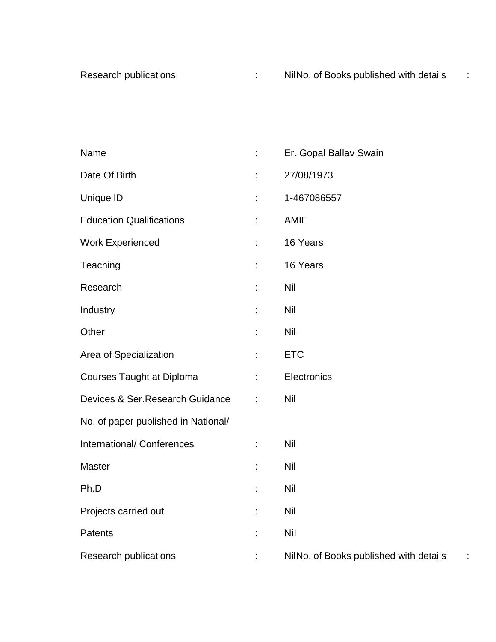| Name                                | t, | Er. Gopal Ballav Swain                 |
|-------------------------------------|----|----------------------------------------|
| Date Of Birth                       | t  | 27/08/1973                             |
| Unique ID                           | t  | 1-467086557                            |
| <b>Education Qualifications</b>     | t  | <b>AMIE</b>                            |
| <b>Work Experienced</b>             | ÷  | 16 Years                               |
| Teaching                            |    | 16 Years                               |
| Research                            | ÷  | <b>Nil</b>                             |
| Industry                            | ÷  | <b>Nil</b>                             |
| Other                               |    | <b>Nil</b>                             |
| Area of Specialization              | t  | <b>ETC</b>                             |
| <b>Courses Taught at Diploma</b>    | t, | Electronics                            |
| Devices & Ser.Research Guidance     | t  | <b>Nil</b>                             |
| No. of paper published in National/ |    |                                        |
| International/ Conferences          | t, | <b>Nil</b>                             |
| Master                              | ÷  | <b>Nil</b>                             |
| Ph.D                                | t  | <b>Nil</b>                             |
| Projects carried out                | ÷  | <b>Nil</b>                             |
| Patents                             | t  | <b>Nil</b>                             |
| Research publications               |    | NilNo. of Books published with details |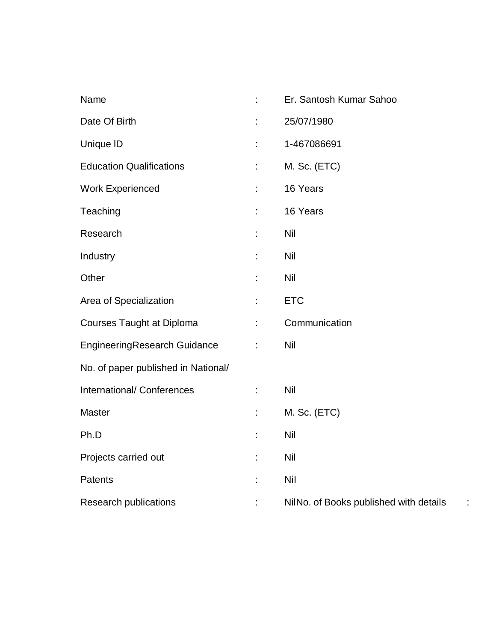| Name                                | t. | Er. Santosh Kumar Sahoo                     |
|-------------------------------------|----|---------------------------------------------|
| Date Of Birth                       | t, | 25/07/1980                                  |
| Unique ID                           | t, | 1-467086691                                 |
| <b>Education Qualifications</b>     | t, | M. Sc. (ETC)                                |
| <b>Work Experienced</b>             | t, | 16 Years                                    |
| Teaching                            | t, | 16 Years                                    |
| Research                            |    | <b>Nil</b>                                  |
| Industry                            | t  | <b>Nil</b>                                  |
| Other                               | t, | Nil                                         |
| Area of Specialization              | t  | <b>ETC</b>                                  |
| <b>Courses Taught at Diploma</b>    | t, | Communication                               |
| <b>EngineeringResearch Guidance</b> | ÷  | Nil                                         |
| No. of paper published in National/ |    |                                             |
| International/ Conferences          | ÷  | <b>Nil</b>                                  |
| <b>Master</b>                       | t, | M. Sc. (ETC)                                |
| Ph.D                                | t, | Nil                                         |
| Projects carried out                | t, | <b>Nil</b>                                  |
| Patents                             | t, | <b>Nil</b>                                  |
| <b>Research publications</b>        | t, | NilNo. of Books published with details<br>÷ |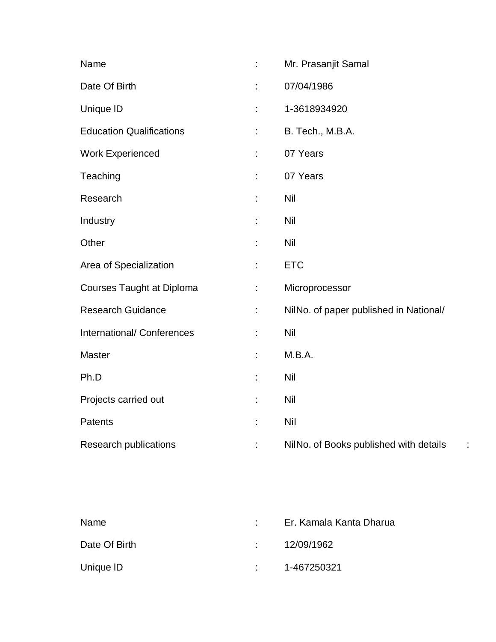| Name                             | ÷  | Mr. Prasanjit Samal                    |
|----------------------------------|----|----------------------------------------|
| Date Of Birth                    |    | 07/04/1986                             |
| Unique ID                        |    | 1-3618934920                           |
| <b>Education Qualifications</b>  |    | B. Tech., M.B.A.                       |
| <b>Work Experienced</b>          | ÷. | 07 Years                               |
| Teaching                         | ÷  | 07 Years                               |
| Research                         |    | Nil                                    |
| Industry                         |    | Nil                                    |
| Other                            | ÷  | <b>Nil</b>                             |
| Area of Specialization           | t  | <b>ETC</b>                             |
| <b>Courses Taught at Diploma</b> | t. | Microprocessor                         |
| <b>Research Guidance</b>         |    | NilNo. of paper published in National/ |
| International/ Conferences       | ÷  | <b>Nil</b>                             |
| Master                           | ÷  | M.B.A.                                 |
| Ph.D                             |    | Nil                                    |
| Projects carried out             |    | Nil                                    |
| Patents                          | t  | <b>Nil</b>                             |
| Research publications            | t. | NilNo. of Books published with details |

| Name          | Er. Kamala Kanta Dharua |
|---------------|-------------------------|
| Date Of Birth | : 12/09/1962            |
| Unique ID     | 1-467250321             |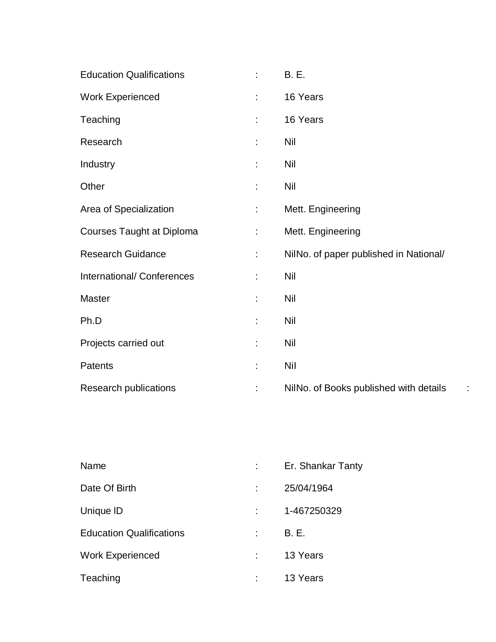| <b>Education Qualifications</b>  | ÷  | <b>B.</b> E.                           |
|----------------------------------|----|----------------------------------------|
| <b>Work Experienced</b>          | ÷  | 16 Years                               |
| Teaching                         |    | 16 Years                               |
| Research                         |    | <b>Nil</b>                             |
| Industry                         | t  | <b>Nil</b>                             |
| Other                            |    | <b>Nil</b>                             |
| Area of Specialization           | t. | Mett. Engineering                      |
| <b>Courses Taught at Diploma</b> | ÷. | Mett. Engineering                      |
| <b>Research Guidance</b>         | ÷. | NilNo. of paper published in National/ |
| International/ Conferences       | ÷  | <b>Nil</b>                             |
| Master                           | ÷  | <b>Nil</b>                             |
| Ph.D                             | t  | <b>Nil</b>                             |
| Projects carried out             | t  | <b>Nil</b>                             |
| Patents                          | t  | <b>Nil</b>                             |
| <b>Research publications</b>     | t  | NilNo. of Books published with details |

| Name                            | Er. Shankar Tanty |
|---------------------------------|-------------------|
| Date Of Birth                   | 25/04/1964        |
| Unique ID                       | 1-467250329       |
| <b>Education Qualifications</b> | <b>B.E.</b>       |
| <b>Work Experienced</b>         | 13 Years          |
| Teaching                        | 13 Years          |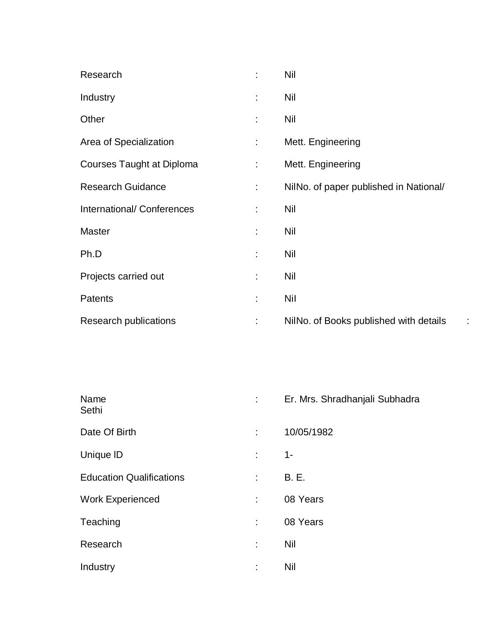| Research                         | ÷  | <b>Nil</b>                                  |
|----------------------------------|----|---------------------------------------------|
| Industry                         | t  | <b>Nil</b>                                  |
| Other                            | ÷  | <b>Nil</b>                                  |
| Area of Specialization           | ÷. | Mett. Engineering                           |
| <b>Courses Taught at Diploma</b> | ÷. | Mett. Engineering                           |
| <b>Research Guidance</b>         | ÷. | NilNo. of paper published in National/      |
| International/ Conferences       | t. | <b>Nil</b>                                  |
| <b>Master</b>                    | ÷  | <b>Nil</b>                                  |
| Ph.D                             | ÷  | <b>Nil</b>                                  |
| Projects carried out             | t  | <b>Nil</b>                                  |
| <b>Patents</b>                   | ÷  | Nil                                         |
| Research publications            | t  | NilNo. of Books published with details<br>÷ |

| Name<br>Sethi                   |   | Er. Mrs. Shradhanjali Subhadra |
|---------------------------------|---|--------------------------------|
| Date Of Birth                   | ÷ | 10/05/1982                     |
| Unique ID                       | ÷ | $1 -$                          |
| <b>Education Qualifications</b> | ÷ | <b>B.</b> E.                   |
| <b>Work Experienced</b>         | ÷ | 08 Years                       |
| Teaching                        | ÷ | 08 Years                       |
| Research                        | ÷ | Nil                            |
| Industry                        | ٠ | Nil                            |